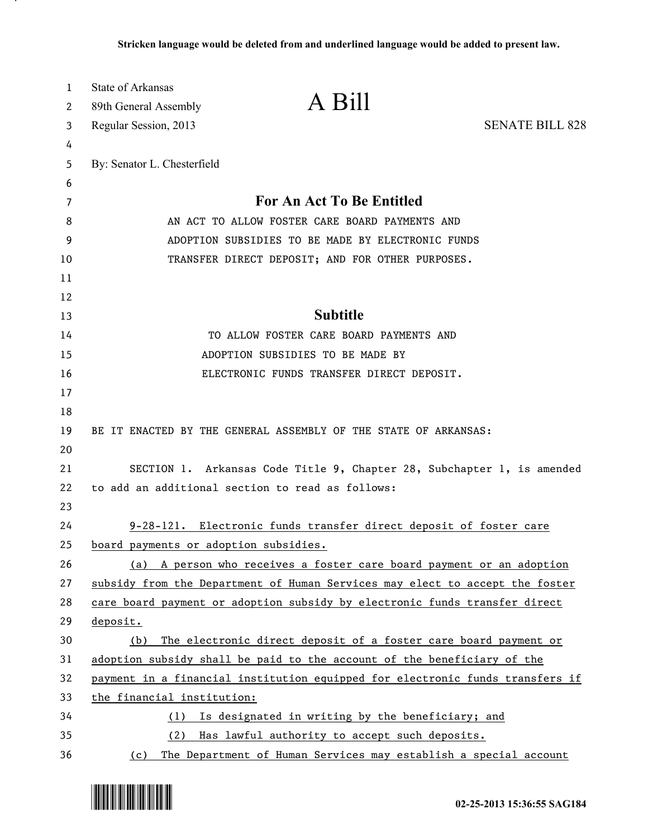| 1  | State of Arkansas                     | A Bill                                                                        |                        |
|----|---------------------------------------|-------------------------------------------------------------------------------|------------------------|
| 2  | 89th General Assembly                 |                                                                               |                        |
| 3  | Regular Session, 2013                 |                                                                               | <b>SENATE BILL 828</b> |
| 4  |                                       |                                                                               |                        |
| 5  | By: Senator L. Chesterfield           |                                                                               |                        |
| 6  |                                       |                                                                               |                        |
| 7  |                                       | For An Act To Be Entitled                                                     |                        |
| 8  |                                       | AN ACT TO ALLOW FOSTER CARE BOARD PAYMENTS AND                                |                        |
| 9  |                                       | ADOPTION SUBSIDIES TO BE MADE BY ELECTRONIC FUNDS                             |                        |
| 10 |                                       | TRANSFER DIRECT DEPOSIT; AND FOR OTHER PURPOSES.                              |                        |
| 11 |                                       |                                                                               |                        |
| 12 |                                       |                                                                               |                        |
| 13 |                                       | <b>Subtitle</b>                                                               |                        |
| 14 |                                       | TO ALLOW FOSTER CARE BOARD PAYMENTS AND                                       |                        |
| 15 |                                       | ADOPTION SUBSIDIES TO BE MADE BY                                              |                        |
| 16 |                                       | ELECTRONIC FUNDS TRANSFER DIRECT DEPOSIT.                                     |                        |
| 17 |                                       |                                                                               |                        |
| 18 |                                       |                                                                               |                        |
| 19 |                                       | BE IT ENACTED BY THE GENERAL ASSEMBLY OF THE STATE OF ARKANSAS:               |                        |
| 20 |                                       |                                                                               |                        |
| 21 |                                       | SECTION 1. Arkansas Code Title 9, Chapter 28, Subchapter 1, is amended        |                        |
| 22 |                                       | to add an additional section to read as follows:                              |                        |
| 23 |                                       |                                                                               |                        |
| 24 |                                       | 9-28-121. Electronic funds transfer direct deposit of foster care             |                        |
| 25 | board payments or adoption subsidies. |                                                                               |                        |
| 26 |                                       | (a) A person who receives a foster care board payment or an adoption          |                        |
| 27 |                                       | subsidy from the Department of Human Services may elect to accept the foster  |                        |
| 28 |                                       | care board payment or adoption subsidy by electronic funds transfer direct    |                        |
| 29 | deposit.                              |                                                                               |                        |
| 30 | (b)                                   | The electronic direct deposit of a foster care board payment or               |                        |
| 31 |                                       | adoption subsidy shall be paid to the account of the beneficiary of the       |                        |
| 32 |                                       | payment in a financial institution equipped for electronic funds transfers if |                        |
| 33 | the financial institution:            |                                                                               |                        |
| 34 | (1)                                   | Is designated in writing by the beneficiary; and                              |                        |
| 35 | (2)                                   | Has lawful authority to accept such deposits.                                 |                        |
| 36 | (c)                                   | The Department of Human Services may establish a special account              |                        |



.